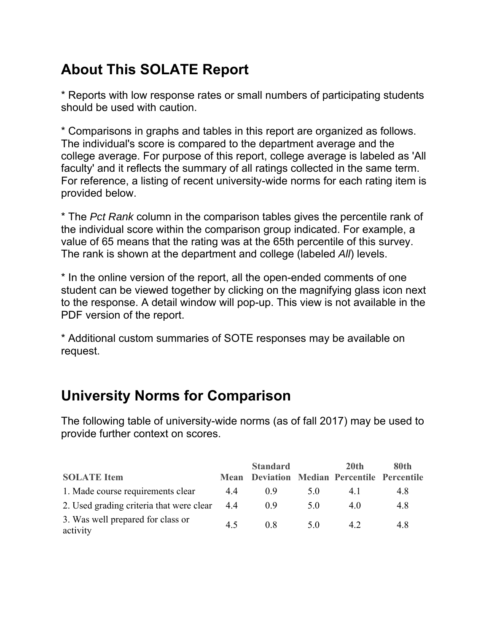# **About This SOLATE Report**

\* Reports with low response rates or small numbers of participating students should be used with caution.

\* Comparisons in graphs and tables in this report are organized as follows. The individual's score is compared to the department average and the college average. For purpose of this report, college average is labeled as 'All faculty' and it reflects the summary of all ratings collected in the same term. For reference, a listing of recent university-wide norms for each rating item is provided below.

\* The *Pct Rank* column in the comparison tables gives the percentile rank of the individual score within the comparison group indicated. For example, a value of 65 means that the rating was at the 65th percentile of this survey. The rank is shown at the department and college (labeled *All*) levels.

\* In the online version of the report, all the open-ended comments of one student can be viewed together by clicking on the magnifying glass icon next to the response. A detail window will pop-up. This view is not available in the PDF version of the report.

\* Additional custom summaries of SOTE responses may be available on request.

### **University Norms for Comparison**

|                                               |     | <b>Standard</b>                                    |     | 20 <sup>th</sup> | 80th |
|-----------------------------------------------|-----|----------------------------------------------------|-----|------------------|------|
| <b>SOLATE</b> Item                            |     | <b>Mean Deviation Median Percentile Percentile</b> |     |                  |      |
| 1. Made course requirements clear             | 4.4 | 0.9                                                | 5.0 | 4. I             | 4.8  |
| 2. Used grading criteria that were clear      | 4.4 | (0.9)                                              | 5.0 | 4.0              | 4.8  |
| 3. Was well prepared for class or<br>activity | 4.5 | 0.8                                                | 5.0 | 4.2              | 4.8  |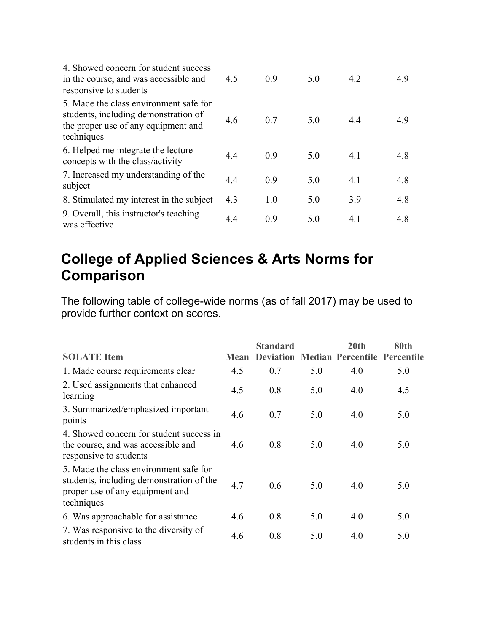| 4. Showed concern for student success<br>in the course, and was accessible and<br>responsive to students                            | 4.5 | 0.9 | 5.0 | 4.2 | 4.9 |
|-------------------------------------------------------------------------------------------------------------------------------------|-----|-----|-----|-----|-----|
| 5. Made the class environment safe for<br>students, including demonstration of<br>the proper use of any equipment and<br>techniques | 4.6 | 0.7 | 5.0 | 4.4 | 4.9 |
| 6. Helped me integrate the lecture<br>concepts with the class/activity                                                              | 4.4 | 0.9 | 5.0 | 4.1 | 4.8 |
| 7. Increased my understanding of the<br>subject                                                                                     | 4.4 | 0.9 | 5.0 | 4.1 | 4.8 |
| 8. Stimulated my interest in the subject                                                                                            | 4.3 | 1.0 | 5.0 | 3.9 | 4.8 |
| 9. Overall, this instructor's teaching<br>was effective                                                                             | 4.4 | 0.9 | 5.0 | 4.1 | 4.8 |

## **College of Applied Sciences & Arts Norms for Comparison**

| <b>SOLATE Item</b>                                                                                                                  | <b>Mean</b> | <b>Standard</b><br><b>Deviation</b> |     | 20 <sub>th</sub><br>Median Percentile Percentile | 80th |
|-------------------------------------------------------------------------------------------------------------------------------------|-------------|-------------------------------------|-----|--------------------------------------------------|------|
| 1. Made course requirements clear                                                                                                   | 4.5         | 0.7                                 | 5.0 | 4.0                                              | 5.0  |
| 2. Used assignments that enhanced<br>learning                                                                                       | 4.5         | 0.8                                 | 5.0 | 4.0                                              | 4.5  |
| 3. Summarized/emphasized important<br>points                                                                                        | 4.6         | 0.7                                 | 5.0 | 4.0                                              | 5.0  |
| 4. Showed concern for student success in<br>the course, and was accessible and<br>responsive to students                            | 4.6         | 0.8                                 | 5.0 | 4.0                                              | 5.0  |
| 5. Made the class environment safe for<br>students, including demonstration of the<br>proper use of any equipment and<br>techniques | 4.7         | 0.6                                 | 5.0 | 4.0                                              | 5.0  |
| 6. Was approachable for assistance                                                                                                  | 4.6         | 0.8                                 | 5.0 | 4.0                                              | 5.0  |
| 7. Was responsive to the diversity of<br>students in this class                                                                     | 4.6         | 0.8                                 | 5.0 | 4.0                                              | 5.0  |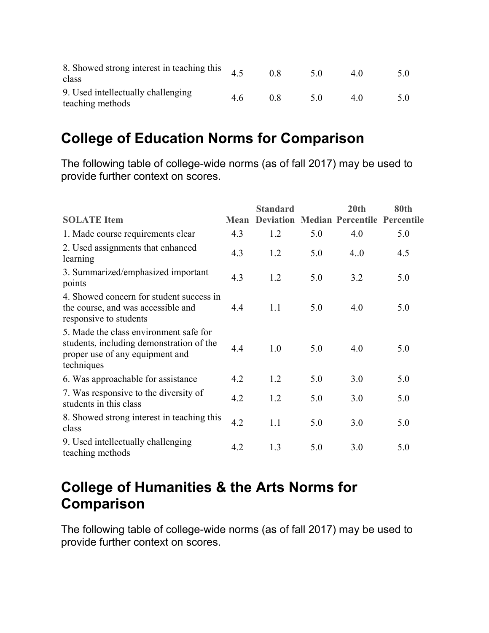| 8. Showed strong interest in teaching this<br>class    |     | 0.8 | 5 O | 4 O | 5.0 |
|--------------------------------------------------------|-----|-----|-----|-----|-----|
| 9. Used intellectually challenging<br>teaching methods | 4.6 | 0.8 | 5 O | 4 O |     |

#### **College of Education Norms for Comparison**

The following table of college-wide norms (as of fall 2017) may be used to provide further context on scores.

|                                                                                                                                     |             | <b>Standard</b>  |     | 20 <sub>th</sub>         | 80th              |
|-------------------------------------------------------------------------------------------------------------------------------------|-------------|------------------|-----|--------------------------|-------------------|
| <b>SOLATE Item</b>                                                                                                                  | <b>Mean</b> | <b>Deviation</b> |     | <b>Median Percentile</b> | <b>Percentile</b> |
| 1. Made course requirements clear                                                                                                   | 4.3         | 1.2              | 5.0 | 4.0                      | 5.0               |
| 2. Used assignments that enhanced<br>learning                                                                                       | 4.3         | 1.2              | 5.0 | 4.0                      | 4.5               |
| 3. Summarized/emphasized important<br>points                                                                                        | 4.3         | 1.2              | 5.0 | 3.2                      | 5.0               |
| 4. Showed concern for student success in<br>the course, and was accessible and<br>responsive to students                            | 4.4         | 1.1              | 5.0 | 4.0                      | 5.0               |
| 5. Made the class environment safe for<br>students, including demonstration of the<br>proper use of any equipment and<br>techniques | 4.4         | 1.0              | 5.0 | 4.0                      | 5.0               |
| 6. Was approachable for assistance                                                                                                  | 4.2         | 1.2              | 5.0 | 3.0                      | 5.0               |
| 7. Was responsive to the diversity of<br>students in this class                                                                     | 4.2         | 1.2              | 5.0 | 3.0                      | 5.0               |
| 8. Showed strong interest in teaching this<br>class                                                                                 | 4.2         | 1.1              | 5.0 | 3.0                      | 5.0               |
| 9. Used intellectually challenging<br>teaching methods                                                                              | 4.2         | 1.3              | 5.0 | 3.0                      | 5.0               |

## **College of Humanities & the Arts Norms for Comparison**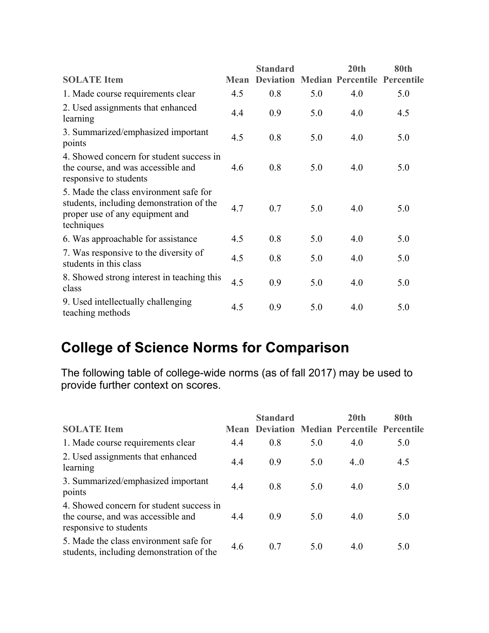|                                                                                                                                     |             | <b>Standard</b>  |     | 20 <sub>th</sub>                    | 80th |
|-------------------------------------------------------------------------------------------------------------------------------------|-------------|------------------|-----|-------------------------------------|------|
| <b>SOLATE Item</b>                                                                                                                  | <b>Mean</b> | <b>Deviation</b> |     | <b>Median Percentile Percentile</b> |      |
| 1. Made course requirements clear                                                                                                   | 4.5         | 0.8              | 5.0 | 4.0                                 | 5.0  |
| 2. Used assignments that enhanced<br>learning                                                                                       | 4.4         | 0.9              | 5.0 | 4.0                                 | 4.5  |
| 3. Summarized/emphasized important<br>points                                                                                        | 4.5         | 0.8              | 5.0 | 4.0                                 | 5.0  |
| 4. Showed concern for student success in<br>the course, and was accessible and<br>responsive to students                            | 4.6         | 0.8              | 5.0 | 4.0                                 | 5.0  |
| 5. Made the class environment safe for<br>students, including demonstration of the<br>proper use of any equipment and<br>techniques | 4.7         | 0.7              | 5.0 | 4.0                                 | 5.0  |
| 6. Was approachable for assistance                                                                                                  | 4.5         | 0.8              | 5.0 | 4.0                                 | 5.0  |
| 7. Was responsive to the diversity of<br>students in this class                                                                     | 4.5         | 0.8              | 5.0 | 4.0                                 | 5.0  |
| 8. Showed strong interest in teaching this<br>class                                                                                 | 4.5         | 0.9              | 5.0 | 4.0                                 | 5.0  |
| 9. Used intellectually challenging<br>teaching methods                                                                              | 4.5         | 0.9              | 5.0 | 4.0                                 | 5.0  |

# **College of Science Norms for Comparison**

| <b>SOLATE</b> Item                                                                                       | Mean | <b>Standard</b> |     | 20 <sub>th</sub><br><b>Deviation Median Percentile Percentile</b> | 80th |
|----------------------------------------------------------------------------------------------------------|------|-----------------|-----|-------------------------------------------------------------------|------|
| 1. Made course requirements clear                                                                        | 4.4  | 0.8             | 5.0 | 4.0                                                               | 5.0  |
| 2. Used assignments that enhanced<br>learning                                                            | 4.4  | 0.9             | 5.0 | 4.0                                                               | 4.5  |
| 3. Summarized/emphasized important<br>points                                                             | 4.4  | 0.8             | 5.0 | 4.0                                                               | 5.0  |
| 4. Showed concern for student success in<br>the course, and was accessible and<br>responsive to students | 4.4  | 0.9             | 5.0 | 4.0                                                               | 5.0  |
| 5. Made the class environment safe for<br>students, including demonstration of the                       | 4.6  | 0.7             | 5.0 | 4.0                                                               | 5.0  |